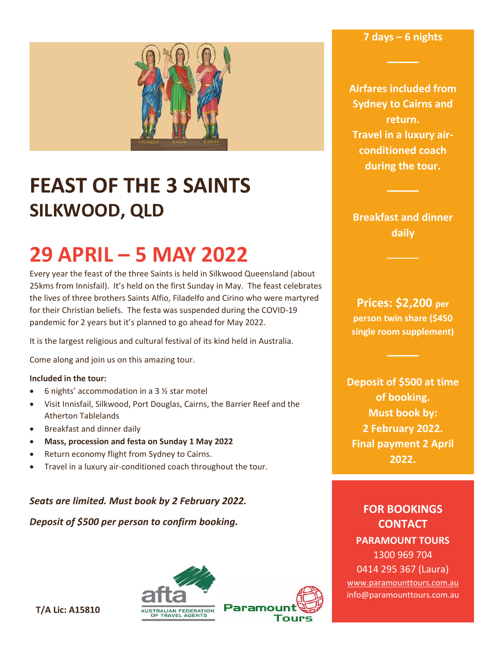**7 days – 6 nights**



## **FEAST OF THE 3 SAINTS SILKWOOD, QLD**

# **29 APRIL – 5 MAY 2022**

Every year the feast of the three Saints is held in Silkwood Queensland (about 25kms from Innisfail). It's held on the first Sunday in May. The feast celebrates the lives of three brothers Saints Alfio, Filadelfo and Cirino who were martyred for their Christian beliefs. The festa was suspended during the COVID-19 pandemic for 2 years but it's planned to go ahead for May 2022.

It is the largest religious and cultural festival of its kind held in Australia.

Come along and join us on this amazing tour.

#### **Included in the tour:**

- 6 nights' accommodation in a 3 ½ star motel
- Visit Innisfail, Silkwood, Port Douglas, Cairns, the Barrier Reef and the Atherton Tablelands
- Breakfast and dinner daily
- **Mass, procession and festa on Sunday 1 May 2022**
- Return economy flight from Sydney to Cairns.
- Travel in a luxury air-conditioned coach throughout the tour.

*Seats are limited. Must book by 2 February 2022.*

*Deposit of \$500 per person to confirm booking.*





**Airfares included from Sydney to Cairns and return. Travel in a luxury airconditioned coach during the tour.**

**Breakfast and dinner daily**

**Prices: \$2,200 per person twin share (\$450 single room supplement)**

**Deposit of \$500 at time of booking. Must book by: 2 February 2022. Final payment 2 April 2022.**

**FOR BOOKINGS CONTACT PARAMOUNT TOURS** 1300 969 704 0414 295 367 (Laura) [www.paramounttours.com.au](http://www.paramounttours.com.au/) info@paramounttours.com.au

**T/A Lic: A15810**